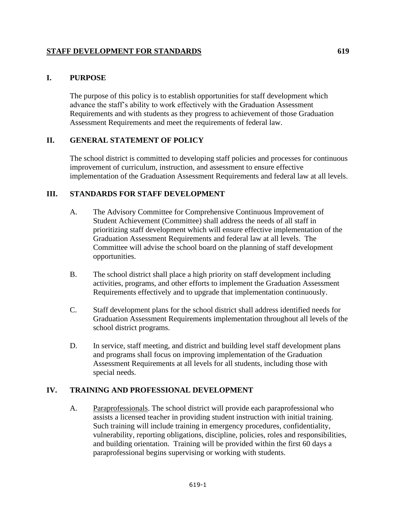# **STAFF DEVELOPMENT FOR STANDARDS** 619

#### **I. PURPOSE**

The purpose of this policy is to establish opportunities for staff development which advance the staff's ability to work effectively with the Graduation Assessment Requirements and with students as they progress to achievement of those Graduation Assessment Requirements and meet the requirements of federal law.

## **II. GENERAL STATEMENT OF POLICY**

The school district is committed to developing staff policies and processes for continuous improvement of curriculum, instruction, and assessment to ensure effective implementation of the Graduation Assessment Requirements and federal law at all levels.

## **III. STANDARDS FOR STAFF DEVELOPMENT**

- A. The Advisory Committee for Comprehensive Continuous Improvement of Student Achievement (Committee) shall address the needs of all staff in prioritizing staff development which will ensure effective implementation of the Graduation Assessment Requirements and federal law at all levels. The Committee will advise the school board on the planning of staff development opportunities.
- B. The school district shall place a high priority on staff development including activities, programs, and other efforts to implement the Graduation Assessment Requirements effectively and to upgrade that implementation continuously.
- C. Staff development plans for the school district shall address identified needs for Graduation Assessment Requirements implementation throughout all levels of the school district programs.
- D. In service, staff meeting, and district and building level staff development plans and programs shall focus on improving implementation of the Graduation Assessment Requirements at all levels for all students, including those with special needs.

#### **IV. TRAINING AND PROFESSIONAL DEVELOPMENT**

A. Paraprofessionals. The school district will provide each paraprofessional who assists a licensed teacher in providing student instruction with initial training. Such training will include training in emergency procedures, confidentiality, vulnerability, reporting obligations, discipline, policies, roles and responsibilities, and building orientation. Training will be provided within the first 60 days a paraprofessional begins supervising or working with students.